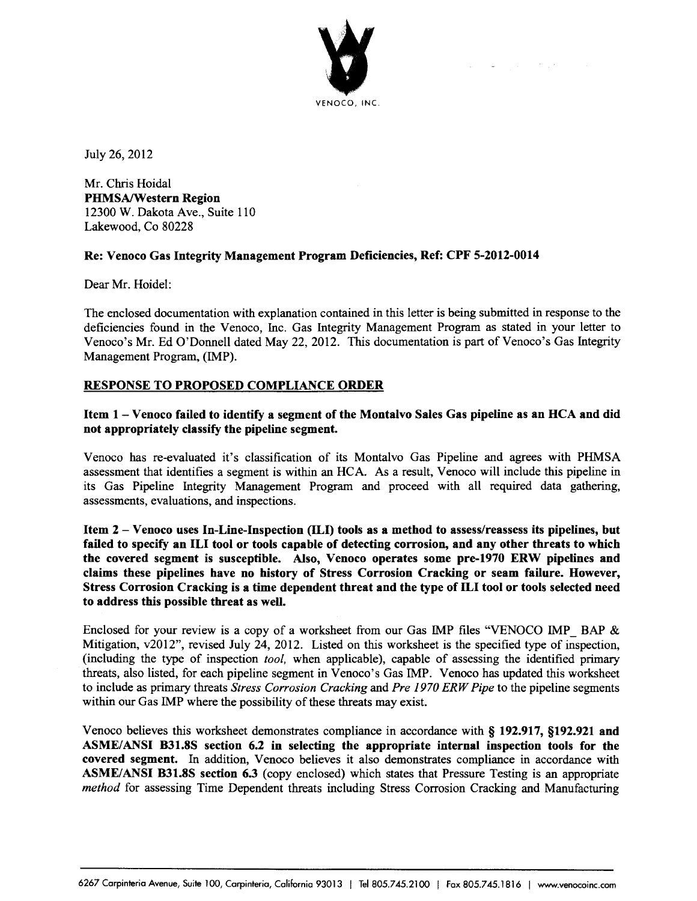

July 26, 2012

Mr. Chris Hoidal PHMSA/Western Region 12300 W. Dakota Ave., Suite 110 Lakewood, Co 80228

## Re: Venoco Gas Integrity Management Program Deficiencies, Ref: CPF 5-2012-0014

Dear Mr. Hoidel:

The enclosed documentation with explanation contained in this letter is being submitted in response to the deficiencies found in the Venoco, Inc. Gas Integrity Management Program as stated in your letter to Venoco's Mr. Ed O'Donnell dated May 22, 2012. This documentation is part of Venoco's Gas Integrity Management Program, (IMP).

## RESPONSE TO PROPOSED COMPLIANCE ORDER

## Item 1 - Venoco failed to identify a segment of the Montalvo Sales Gas pipeline as an HCA and did not appropriately classify the pipeline segment.

Venoco has re-evaluated it's classification of its Montalvo Gas Pipeline and agrees with PHMSA assessment that identifies a segment is within an HCA. As a result, Venoco will include this pipeline in its Gas Pipeline Integrity Management Program and proceed with all required data gathering, assessments, evaluations, and inspections.

Item 2- Venoco uses In-Line-Inspection (ILl) tools as a method to assess/reassess its pipelines, but failed to specify an ILl tool or tools capable of detecting corrosion, and any other threats to which the covered segment is susceptible. Also, Venoco operates some pre-1970 ERW pipelines and claims these pipelines have no history of Stress Corrosion Cracking or seam failure. However, Stress Corrosion Cracking is a time dependent threat and the type of ILl tool or tools selected need to address this possible threat as well.

Enclosed for your review is a copy of a worksheet from our Gas IMP files "VENOCO IMP BAP & Mitigation, v2012", revised July 24, 2012. Listed on this worksheet is the specified type of inspection, (including the type of inspection *tool,* when applicable), capable of assessing the identified primary threats, also listed, for each pipeline segment in Venoco's Gas IMP. Venoco has updated this worksheet to include as primary threats *Stress Corrosion Cracking* and *Pre 1970 ERW Pipe* to the pipeline segments within our Gas IMP where the possibility of these threats may exist.

Venoco believes this worksheet demonstrates compliance in accordance with§ 192.917, §192.921 and ASME/ANSI B31.8S section 6.2 in selecting the appropriate internal inspection tools for the covered segment. In addition, Venoco believes it also demonstrates compliance in accordance with ASME/ANSI B31.8S section 6.3 (copy enclosed) which states that Pressure Testing is an appropriate *method* for assessing Time Dependent threats including Stress Corrosion Cracking and Manufacturing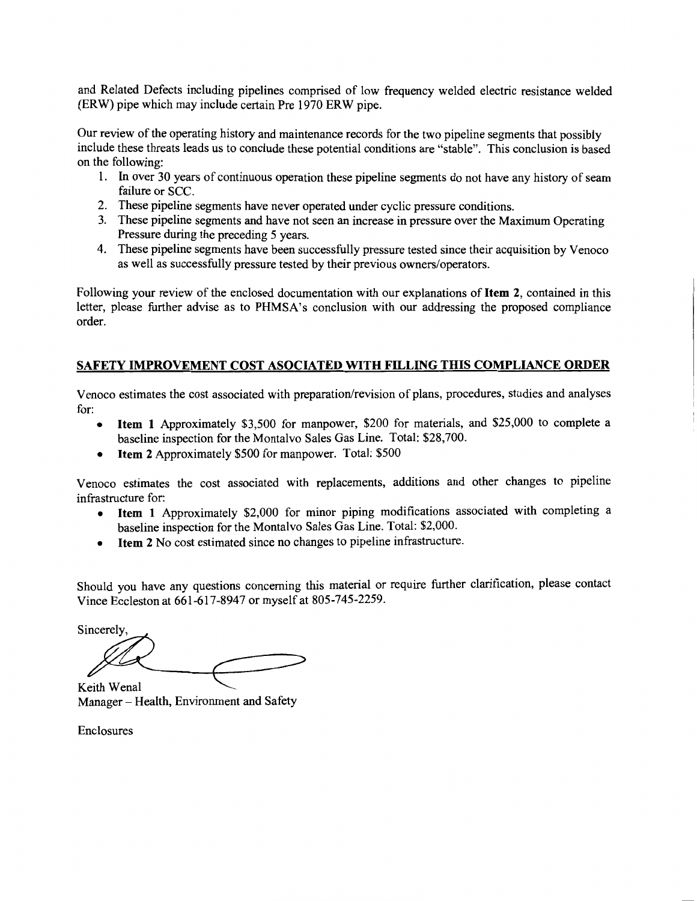and Related Defects including pipelines comprised of low frequency welded electric resistance welded (ERW) pipe which may include certain Pre 1970 ERW pipe.

Our review of the operating history and maintenance records for the two pipeline segments that possibly include these threats leads us to conclude these potential conditions are "stable". This conclusion is based on the following:

- 1. In over 30 years of continuous operation these pipeline segments do not have any history of seam failure or SCC.
- 2. These pipeline segments have never operated under cyclic pressure conditions.
- 3. These pipeline segments and have not seen an increase in pressure over the Maximum Operating Pressure during the preceding 5 years.
- 4. These pipeline segments have been successfully pressure tested since their acquisition by Venoco as well as successfully pressure tested by their previous owners/operators.

Following your review of the enclosed documentation with our explanations of **Item 2,** contained in this letter, please further advise as to PHMSA's conclusion with our addressing the proposed compliance order.

## **SAFETY IMPROVEMENT COST ASOCIATED WITH FILLING THIS COMPLIANCE ORDER**

Venoco estimates the cost associated with preparation/revision of plans, procedures, studies and analyses for:

- **Item 1** Approximately \$3,500 for manpower, \$200 for materials, and \$25,000 to complete a baseline inspection for the Montalvo Sales Gas Line. Total: \$28,700.
- **Item 2** Approximately \$500 for manpower. Total: \$500

Venoco estimates the cost associated with replacements, additions and other changes to pipeline infrastructure for:

- **Item 1** Approximately \$2,000 for minor piping modifications associated with completing a baseline inspection for the Montalvo Sales Gas Line. Total: \$2,000.
- **Item 2** No cost estimated since no changes to pipeline infrastructure.

Should you have any questions concerning this material or require further clarification, please contact Vince Eccleston at 661-617-8947 or myself at 805-745-2259.

Sincerely,

Keith Wenal Manager - Health, Environment and Safety

Enclosures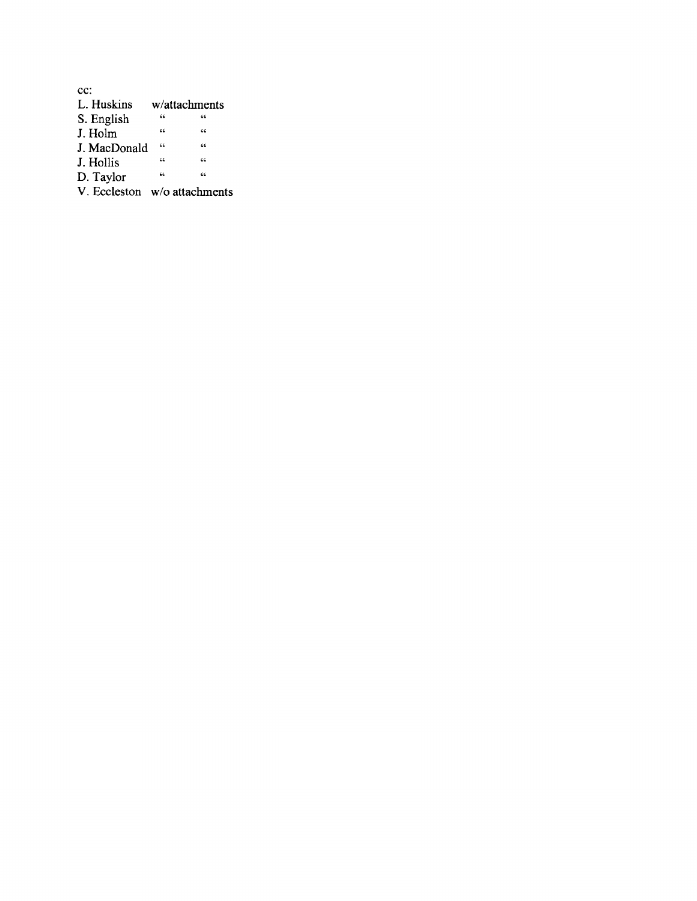| cc:                          |                |            |  |  |  |  |
|------------------------------|----------------|------------|--|--|--|--|
| L. Huskins                   | w/attachments  |            |  |  |  |  |
| S. English                   | 66             | 44         |  |  |  |  |
| J. Holm                      | 66             | $\epsilon$ |  |  |  |  |
| J. MacDonald                 | C <sub>1</sub> | 66         |  |  |  |  |
| J. Hollis                    | 44             | 66         |  |  |  |  |
| D. Taylor                    | 66             | 44         |  |  |  |  |
| V. Eccleston w/o attachments |                |            |  |  |  |  |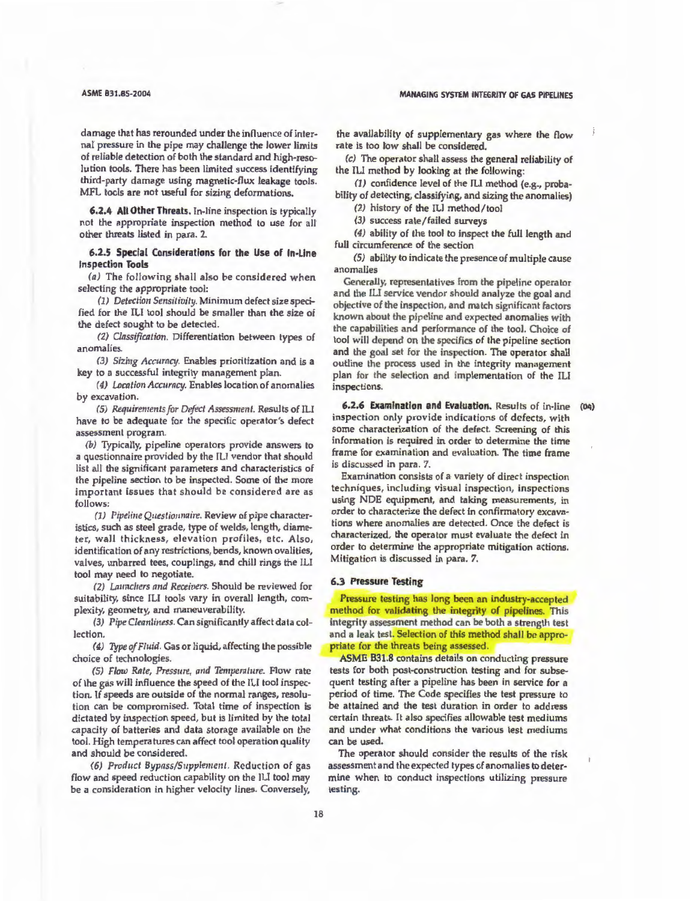#### ASME 831.85-2004

damage that has rerounded under the influence of internal pressure in the pipe may challenge the lower limits of reliable detection of both the standard and high-resolution tools. There has been limited success identifying third-party damage using magnetic-flux leakage tools. MFL tools are not useful for sizing deformations.

6.2.4 All Other Threats. In-line inspection is typically not the appropriate inspection method to use for all other threats listed in para. 2.

6.2.5 Special Considerations for the Use of ln·Line Inspection Tools

*(n)* The following shall also be considered when selecting the appropriate tool:

(1) *Detection Sensitivity.* Minimum defect size specified for the ILI tool should be smaller than the size of the defect sought to be detected.

*(2) Gnssificntion.* Differentiation between types of anomalies.

*(3) Sizing Accurna;.* Enables prioritization and is a key to a successful integrity management plan.

*(4) Location Accuracy.* Enables location of anomalies by excavation.

(5) Requirements for Defect Assessment. Results of ILI have to be adequate for the specific operator's defect assessment program.

(b) Typically, pipeline operators provide answers to a questionnaire provided by the ILl vendor that should list all the significant parameters and characteristics of the pipeline section to be inspected. Some of the more important issues that should be considered are as follows:

(1) Pipeline Questionnaire. Review of pipe characteristics, such as steel grade, type of welds, length, diameter, wall thickness, elevation profiles, etc. Also, identification of any restrictions, bends, known ovalities, valves, unbarred tees, couplings, and chill rings the ILl tool may need to negotiate.

(2) *Launcliers and Receivers*. Should be reviewed for suitability, since ILl tools vary in overall length, complexity, geometry, and maneuverability.

(3) Pipe Cleanliness. Can significantly affect data collection.

(4) *Type of* Fluid. Gas or liquid, affecting the possible choice of technologies.

*(5) Flow Rnte, Pressure, and Temperature.* Flow rate of the gas will influence the speed of the IU tool inspection. lf speeds are outside of the normal ranges, resolution can be compromised. Total time of inspection is dictated by inspection speed, but is limited by the total capacity of batteries and data storage available on the tool. High temperatures can affect tool operation quality and should be considered.

(6) *Product* Bypass/Supplement. Reduction of gas flow and speed reduction capability on the ILI tool may be a consideration in higher velocity lines. Conversely, the availability of supplementary gas where the flow rate is too low shall be considered.

(c) The operator shall assess the general reliability of the ILl method by looking at the following:

(1) confidence level of the JLl method (e.g., probability of detecting; classifying, and sizing the anomalies)

(2) history of the ILl method/tool

(3) success rate/failed surveys

(4) ability of the tool to inspect the full length and full circumference of the section

(5) ability to indicate the presence of multiple cause anomalies

Generally, representatives from the pipeline operator and the ILl service vendor should analyze the goal and objective of the inspection, and match significnnt factors known about the pipeline and expected anomaljes with the capabilities and performance of the tool. Choice of tool will depend on the specifics of the pipeline section and the goal set for the inspection. The operator shall outline the process used in the integrity management plan for the selection and implementation of the ILl inspections.

6.2.6 Examination and Evaluation. Results of in-line (04) inspection only provide indications of defects, with some characterization of the defect. Screening of this information is required in order to determine the time frame for examination and evaluation. The time frame is discussed in para. 7.

Examination consists of a variety of direct inspection techniques, including visual inspection, inspections using NDE equipment, and taking measurements, in order to characterize the defect in confirmatory excavations where anomalies are detected. Once the defect is characterized, the operator must evaluate the defect in order to determine the appropriate mitigation actions. Mitigation is discussed in para. *7.* 

### 6.3 Pressure Testing

Pressure testing has long been an industry-accepted method for validating the integrity of pipelines. This integrity assessment method can be both a strength test and a leak test. Selection of this method shall be appropriate for the threats being assessed.

ASME 831.8 contains details on conducting pressure tests for both post-construction testing and for subsequent testing after a pipeline has been in service for a period of time. The Code specifies the test pressure to be attained and the test duration in order to address certain threats. It also specifies allowable test mediums and under what conditions the various test mediums can be used.

The operator should consider the results of the risk assessment and the expected types of anomalies to deter· mine when to conduct inspections utilizing pressure testing.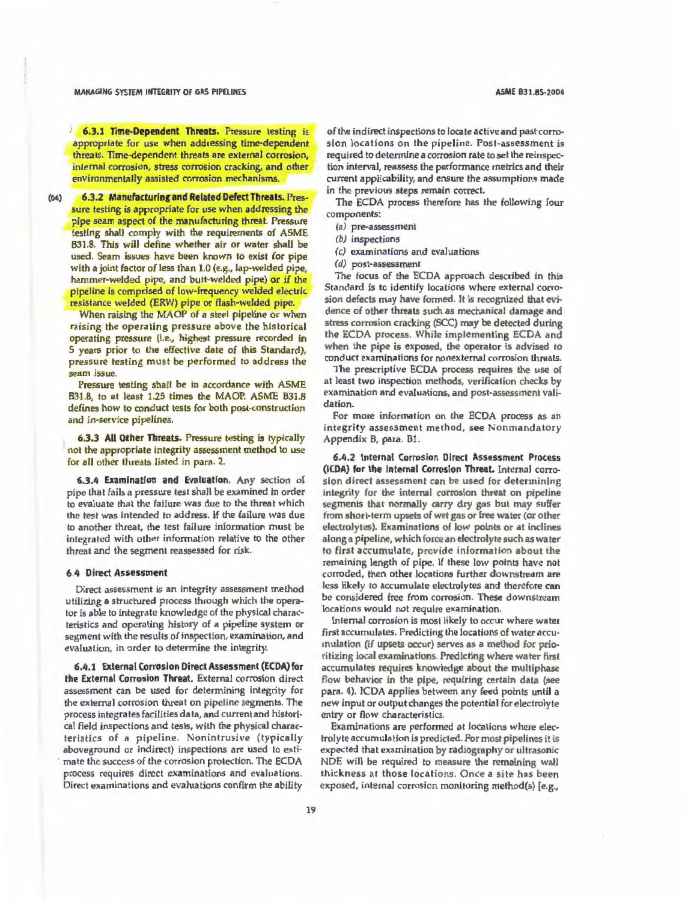#### MANAGING SYSTEM INTEGRITY OF GAS PIPELINES

**6.3.1 Time-Dependent Threats.** Pressure testing is appropriate for use when addressing time-dependent threats. Time-dependent threats are external corrosion, internal corrosion, stress corrosion cracking, and other environmentally assisted corrosion mechanisms.

(Oil) 6.3.2 Manufacturing and Related Defect Threats. Pressure testing is appropriate for use when addressing the pipe seam aspect of the manufacturing threat. Pressure testing shall comply with the requirements of ASME 631.8. This will define whether air or water shall be used. Seam issues have been known to exist for pipe with a joint factor of less than 1.0 (e.g., lap-welded pipe, hammer-welded pipe, and butt-welded pipe) or if the pipeline is comprised of low-frequency welded electric resistance welded {ERW) pipe or flash-welded pipe.

When raising the MAOP of a steel pipeline or when raising the operating pressure above the historical operating pressure (i.e., highest pressure recorded in 5 years prior to the effective date of this Standard}, pressure testing must be performed to address the seam issue.

Pressure testing shall be in accordance with ASME 831 .8, to at least 1.25 times the MAOP. ASME 831.8 defines how to conduct tests for both post-construction and in-service pipelines.

6.3.3 All Other Threats. Pressure testing is typically not the appropriate integrity assessment method to use for all other threats listed in para. 2.

6.3.4 Examination and Evaluation. Any section of pipe that fails a pressure test shall be examined in order to evaluate that the failure was due to the threat which the test was intended to address. If the failure was due to another threat, the test failure information must be integrated with other information relative to the other threat and the segment reassessed for risk.

#### 6.4 Direct Assessment

Direct assessment is an integrity assessment method utilizing a structured process through which the operator is able to integrate knowledge of the physical characteristics and operating history of a pipeline system or segment with the results of inspection, examination, and evaluation, in order to determine the integrity.

6.4.1 External Corrosion Direct Assessment (ECDA) for the External Corrosion Threat. External corrosion direct assessment can be used for determining integrity for the external corrosion threat on pipeline segments. The process integrates facilities data, and current and historical field inspections and tests, with the physical characteristics of a pipeline. Nonintrusive (typically aboveground or indirect) inspections are used to estimate the success of the corrosion protection. The ECDA process requires direct examinations and evaluations. Direct examinations and evaluations confirm the ability

of the indirect inspections to locate active and past corrosion locations on the pipeline. Post-assessment is required to determine a corrosion rate to set the reinspection interval, reassess the performance metrics and their current applicability, and ensure the assumptions made in the previous steps remain correct.

The ECDA process therefore has the following four components:

- (a) pre-assessment
- *(b)* inspections
- (c) examinations and evaluations
- (d) post-assessment

The focus of the ECDA approach described in this Standard is to identify locations where external corrosion defects may have formed. 11 is recognized that evidence of other threats such as mechanical damage and *stress* corrosion cracking (SCC) may be detected during the ECDA process. While implementing ECDA and when the pipe is exposed, the operator is advised to conduct examinations for nonexternal corrosion threats.

The prescriptive ECDA process requires the use of at least two inspection methods, verilication checks by examination and evaluations, and post-assessment validation.

For more information on the ECDA process as an integrity assessment method, see Nonmandatory Appendix B, para. B1.

6.4.2 Internal Corrosion Direct Assessment Process (ICDA) for the Internal Corrosion Threat. Internal corrosion direct assessment can be used for determining integrity for the internal corrosion threat on pipeline segments that normally carry dry gas but may suffer from short-term upsets of wet gas or free water (or other electrolytes). Examinations of low points or at inclines along a pipeline, which force an electrolyte such as wa ter to first accumulate, provide information about the remaining length of pipe. If these low points have not corroded, then other locations further downstream are less likely to accumulate electrolytes and therefore can be considered free from corrosion. These downstream locations would not require examination.

Internal corrosion is most likely to occur where water first accumulates. Predicting the locations of water accumulation (if upsets occur) serves as a method for prioritizing local examinations. Predicting where water first accumulates requires knowledge about the multiphase flow behavior in the pipe, requiring certain data (see para. 4). 1CDA applies between any feed points until a new input or output changes the potential for electrolyte entry or flow characteristics.

Examinations are performed at locations where electrolyte accumula lion is predicted. For most pipelines il is expected that examination by radiography or ultrasonic NDE will be required to measure the remaining wall thickness at those locations. Once a site has been *exposed,* internal corrosion monitoring method(s) [e.g.,